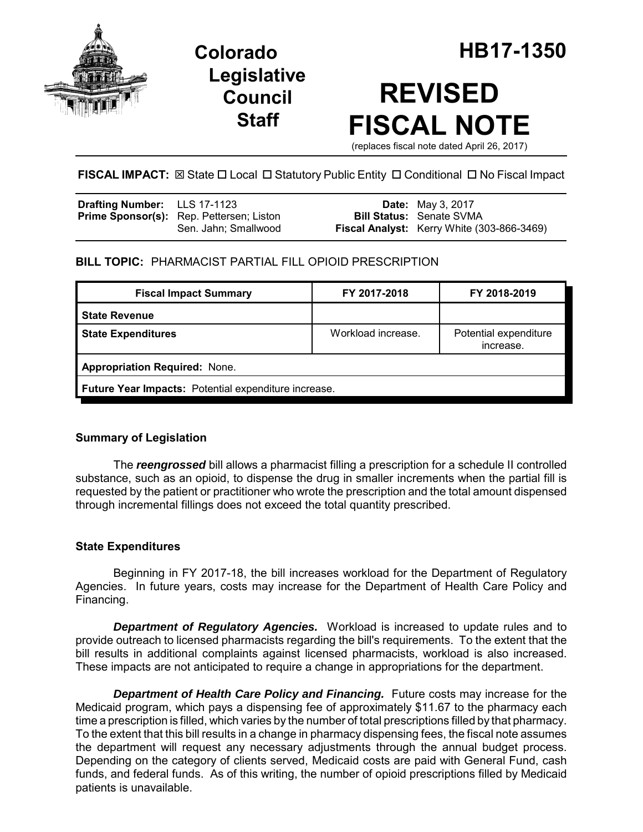

**Legislative Council Staff**

# **REVISED FISCAL NOTE**

(replaces fiscal note dated April 26, 2017)

FISCAL IMPACT:  $\boxtimes$  State  $\Box$  Local  $\Box$  Statutory Public Entity  $\Box$  Conditional  $\Box$  No Fiscal Impact

| <b>Drafting Number:</b> LLS 17-1123 |                                                 | <b>Date:</b> May 3, 2017                          |
|-------------------------------------|-------------------------------------------------|---------------------------------------------------|
|                                     | <b>Prime Sponsor(s):</b> Rep. Pettersen; Liston | <b>Bill Status: Senate SVMA</b>                   |
|                                     | Sen. Jahn; Smallwood                            | <b>Fiscal Analyst:</b> Kerry White (303-866-3469) |

### **BILL TOPIC:** PHARMACIST PARTIAL FILL OPIOID PRESCRIPTION

| <b>Fiscal Impact Summary</b>                         | FY 2017-2018       | FY 2018-2019                       |  |  |
|------------------------------------------------------|--------------------|------------------------------------|--|--|
| <b>State Revenue</b>                                 |                    |                                    |  |  |
| <b>State Expenditures</b>                            | Workload increase. | Potential expenditure<br>increase. |  |  |
| <b>Appropriation Required: None.</b>                 |                    |                                    |  |  |
| Future Year Impacts: Potential expenditure increase. |                    |                                    |  |  |

#### **Summary of Legislation**

The *reengrossed* bill allows a pharmacist filling a prescription for a schedule II controlled substance, such as an opioid, to dispense the drug in smaller increments when the partial fill is requested by the patient or practitioner who wrote the prescription and the total amount dispensed through incremental fillings does not exceed the total quantity prescribed.

#### **State Expenditures**

Beginning in FY 2017-18, the bill increases workload for the Department of Regulatory Agencies. In future years, costs may increase for the Department of Health Care Policy and Financing.

*Department of Regulatory Agencies.* Workload is increased to update rules and to provide outreach to licensed pharmacists regarding the bill's requirements. To the extent that the bill results in additional complaints against licensed pharmacists, workload is also increased. These impacts are not anticipated to require a change in appropriations for the department.

**Department of Health Care Policy and Financing.** Future costs may increase for the Medicaid program, which pays a dispensing fee of approximately \$11.67 to the pharmacy each time a prescription is filled, which varies by the number of total prescriptions filled by that pharmacy. To the extent that this bill results in a change in pharmacy dispensing fees, the fiscal note assumes the department will request any necessary adjustments through the annual budget process. Depending on the category of clients served, Medicaid costs are paid with General Fund, cash funds, and federal funds. As of this writing, the number of opioid prescriptions filled by Medicaid patients is unavailable.